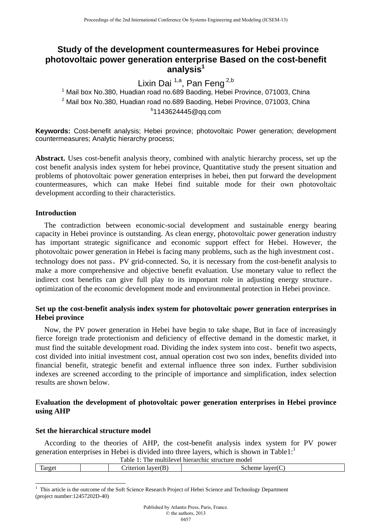# **Study of the development countermeasures for Hebei province photovoltaic power generation enterprise Based on the cost-benefit analysis<sup>1</sup>**

Lixin Dai  $1,a$ , Pan Feng  $2,b$ 

<sup>1</sup> Mail box No.380, Huadian road no.689 Baoding, Hebei Province, 071003, China <sup>2</sup> Mail box No.380, Huadian road no.689 Baoding, Hebei Province, 071003, China  $b$ 1143624445@qq.com

**Keywords:** Cost-benefit analysis; Hebei province; photovoltaic Power generation; development countermeasures; Analytic hierarchy process;

**Abstract.** Uses cost-benefit analysis theory, combined with analytic hierarchy process, set up the cost benefit analysis index system for hebei province, Quantitative study the present situation and problems of photovoltaic power generation enterprises in hebei, then put forward the development countermeasures, which can make Hebei find suitable mode for their own photovoltaic development according to their characteristics.

# **Introduction**

The contradiction between economic-social development and sustainable energy bearing capacity in Hebei province is outstanding. As clean energy, photovoltaic power generation industry has important strategic significance and economic support effect for Hebei. However, the photovoltaic power generation in Hebei is facing many problems, such as the high investment cost、 technology does not pass、PV grid-connected. So, it is necessary from the cost-benefit analysis to make a more comprehensive and objective benefit evaluation. Use monetary value to reflect the indirect cost benefits can give full play to its important role in adjusting energy structure, optimization of the economic development mode and environmental protection in Hebei province.

# **Set up the cost-benefit analysis index system for photovoltaic power generation enterprises in Hebei province**

Now, the PV power generation in Hebei have begin to take shape, But in face of increasingly fierce foreign trade protectionism and deficiency of effective demand in the domestic market, it must find the suitable development road. Dividing the index system into cost、benefit two aspects, cost divided into initial investment cost, annual operation cost two son index, benefits divided into financial benefit, strategic benefit and external influence three son index. Further subdivision indexes are screened according to the principle of importance and simplification, index selection results are shown below.

# **Evaluation the development of photovoltaic power generation enterprises in Hebei province using AHP**

#### **Set the hierarchical structure model**

 $\overline{a}$ 

According to the theories of AHP, the cost-benefit analysis index system for PV power generation enterprises in Hebei is divided into three layers, which is shown in Table1:<sup>1</sup>

| $\overline{ }$<br>$\sim$<br>. hierarchic<br>model<br>able<br>structure<br>multilevel<br>. ne |  |                          |                       |  |  |
|----------------------------------------------------------------------------------------------|--|--------------------------|-----------------------|--|--|
| <b>CONTINUES</b><br>1arge                                                                    |  | к<br>:riterion<br>Taver( | :heme.<br>avert<br>າເ |  |  |

<sup>1</sup> This article is the outcome of the Soft Science Research Project of Hebei Science and Technology Department (project number:12457202D-40)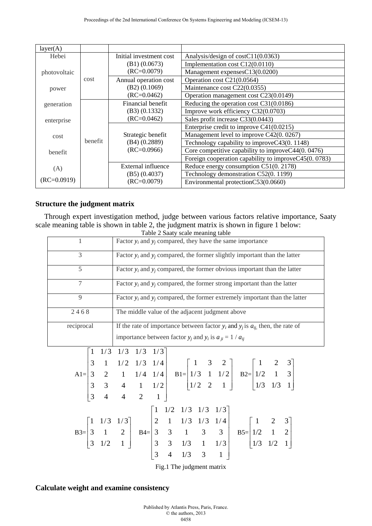| layer(A)      |                    |                                                               |                                                      |
|---------------|--------------------|---------------------------------------------------------------|------------------------------------------------------|
| Hebei         |                    | Initial investment cost<br>$(B1)$ $(0.0673)$<br>$(RC=0.0079)$ | Analysis/design of costC11(0.0363)                   |
| photovoltaic  | cost               |                                                               | Implementation cost C12(0.0110)                      |
|               |                    |                                                               | Management expensesC13(0.0200)                       |
|               |                    | Annual operation cost<br>$(B2)$ $(0.1069)$<br>$(RC=0.0462)$   | Operation cost C21(0.0564)                           |
| power         |                    |                                                               | Maintenance cost C22(0.0355)                         |
|               |                    |                                                               | Operation management cost C23(0.0149)                |
| generation    |                    | Financial benefit<br>$(B3)$ $(0.1332)$                        | Reducing the operation cost $C31(0.0186)$            |
|               |                    |                                                               | Improve work efficiency C32(0.0703)                  |
| enterprise    |                    | $(RC=0.0462)$                                                 | Sales profit increase C33(0.0443)                    |
|               | benefit            | Strategic benefit<br>$(B4)$ $(0.2889)$<br>$(RC=0.0966)$       | Enterprise credit to improve $C41(0.0215)$           |
| cost          |                    |                                                               | Management level to improve C42(0.0267)              |
|               |                    |                                                               | Technology capability to improveC43(0. 1148)         |
| henefit       |                    |                                                               | Core competitive capability to improveC44(0.0476)    |
|               |                    |                                                               | Foreign cooperation capability to improveC45(0.0783) |
| (A)           | External influence |                                                               | Reduce energy consumption C51(0.2178)                |
|               | $(B5)$ $(0.4037)$  |                                                               | Technology demonstration C52(0. 1199)                |
| $(RC=0.0919)$ |                    | $(RC=0.0079)$                                                 | Environmental protectionC53(0.0660)                  |
|               |                    |                                                               |                                                      |

# **Structure the judgment matrix**

Through expert investigation method, judge between various factors relative importance, Saaty scale meaning table is shown in table 2, the judgment matrix is shown in figure 1 below: table *meaning* stable

| Table 2 Saaty scale meaning table |                                                                                                                                                                |  |  |  |
|-----------------------------------|----------------------------------------------------------------------------------------------------------------------------------------------------------------|--|--|--|
|                                   | Factor $y_i$ and $y_j$ compared, they have the same importance                                                                                                 |  |  |  |
| 3                                 | Factor $y_i$ and $y_j$ compared, the former slightly important than the latter                                                                                 |  |  |  |
| 5                                 | Factor $y_i$ and $y_j$ compared, the former obvious important than the latter                                                                                  |  |  |  |
| 7                                 | Factor $y_i$ and $y_j$ compared, the former strong important than the latter                                                                                   |  |  |  |
| 9                                 | Factor $y_i$ and $y_j$ compared, the former extremely important than the latter                                                                                |  |  |  |
| 2468                              | The middle value of the adjacent judgment above                                                                                                                |  |  |  |
| reciprocal                        | If the rate of importance between factor $y_i$ and $y_j$ is $a_{ij}$ , then, the rate of<br>importance between factor $y_i$ and $y_i$ is $a_{ji} = 1 / a_{ij}$ |  |  |  |

$$
A1 = \begin{bmatrix} 1 & 1/3 & 1/3 & 1/3 & 1/3 \\ 3 & 1 & 1/2 & 1/3 & 1/4 \\ 3 & 2 & 1 & 1/4 & 1/4 \\ 3 & 4 & 4 & 2 & 1 \end{bmatrix} \quad B1 = \begin{bmatrix} 1 & 3 & 2 \\ 1/3 & 1 & 1/2 \\ 1/2 & 2 & 1 \end{bmatrix} \quad B2 = \begin{bmatrix} 1 & 2 & 3 \\ 1/2 & 1 & 3 \\ 1/3 & 1/3 & 1 \end{bmatrix}
$$

$$
B3 = \begin{bmatrix} 1 & 1/3 & 1/3 \\ 3 & 1 & 2 \\ 3 & 1/2 & 1 \end{bmatrix} \quad B4 = \begin{bmatrix} 1 & 1/2 & 1/3 & 1/3 & 1/3 \\ 2 & 1 & 1/3 & 1/3 & 1/4 \\ 3 & 3 & 1 & 3 & 3 \\ 3 & 4 & 1/3 & 3 & 1 \end{bmatrix} \quad B5 = \begin{bmatrix} 1 & 2 & 3 \\ 1/2 & 1 & 2 \\ 1/3 & 1/2 & 1 \end{bmatrix}
$$

Fig.1 The judgment matrix

#### **Calculate weight and examine consistency**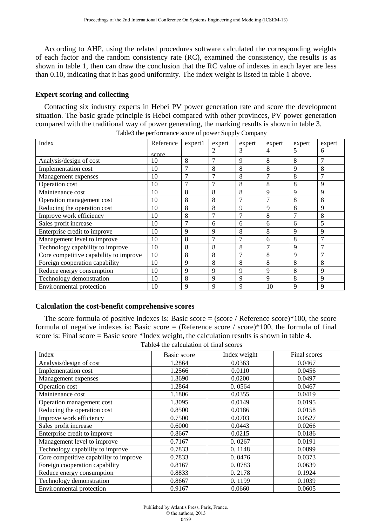According to AHP, using the related procedures software calculated the corresponding weights of each factor and the random consistency rate (RC), examined the consistency, the results is as shown in table 1, then can draw the conclusion that the RC value of indexes in each layer are less than 0.10, indicating that it has good uniformity. The index weight is listed in table 1 above.

#### **Expert scoring and collecting**

Contacting six industry experts in Hebei PV power generation rate and score the development situation. The basic grade principle is Hebei compared with other provinces, PV power generation compared with the traditional way of power generating, the marking results is shown in table 3.

| Index                                  | Reference | expert1 | expert         | expert | expert      | expert        | expert         |
|----------------------------------------|-----------|---------|----------------|--------|-------------|---------------|----------------|
|                                        | score     |         |                | 3      | 4           | 5             | 6              |
| Analysis/design of cost                | 10        | 8       |                | 9      | 8           | 8             | 7              |
| Implementation cost                    | 10        | 7       | 8              | 8      | 8           | 9             | 8              |
| Management expenses                    | 10        | 7       | 7              | 8      | 7           | 8             | 7              |
| Operation cost                         | 10        | 7       | 7              | 8      | 8           | 8             | 9              |
| Maintenance cost                       | 10        | 8       | 8              | 8      | 9           | 9             | 9              |
| Operation management cost              | 10        | 8       | 8              | 7      | 7           | 8             | 8              |
| Reducing the operation cost            | 10        | 8       | 8              | 9      | 9           | 8             | 9              |
| Improve work efficiency                | 10        | 8       | $\overline{7}$ | 7      | 8           | $\mathcal{I}$ | 8              |
| Sales profit increase                  | 10        | 7       | 6              | 6      | 6           | 6             | 5              |
| Enterprise credit to improve           | 10        | 9       | 9              | 8      | 8           | $\mathbf Q$   | 9              |
| Management level to improve            | 10        | 8       | $\overline{7}$ | 7      | 6           | 8             | 7              |
| Technology capability to improve       | 10        | 8       | 8              | 8      | 7           | 9             | 7              |
| Core competitive capability to improve | 10        | 8       | 8              | 7      | 8           | 9             | $\overline{7}$ |
| Foreign cooperation capability         | 10        | 9       | 8              | 8      | 8           | 8             | 8              |
| Reduce energy consumption              | 10        | 9       | 9              | 9      | 9           | 8             | 9              |
| Technology demonstration               | 10        | 8       | 9              | 9      | $\mathbf Q$ | 8             | 9              |
| Environmental protection               | 10        | 9       | 9              | 9      | 10          | 9             | $\mathbf Q$    |

Table3 the performance score of power Supply Company

#### **Calculation the cost-benefit comprehensive scores**

The score formula of positive indexes is: Basic score  $=$  (score / Reference score)\*100, the score formula of negative indexes is: Basic score = (Reference score / score)\*100, the formula of final score is: Final score = Basic score \*Index weight, the calculation results is shown in table 4.

| Index                                  | Basic score | Index weight | Final scores |
|----------------------------------------|-------------|--------------|--------------|
| Analysis/design of cost                | 1.2864      | 0.0363       | 0.0467       |
| Implementation cost                    | 1.2566      | 0.0110       | 0.0456       |
| Management expenses                    | 1.3690      | 0.0200       | 0.0497       |
| Operation cost                         | 1.2864      | 0.0564       | 0.0467       |
| Maintenance cost                       | 1.1806      | 0.0355       | 0.0419       |
| Operation management cost              | 1.3095      | 0.0149       | 0.0195       |
| Reducing the operation cost            | 0.8500      | 0.0186       | 0.0158       |
| Improve work efficiency                | 0.7500      | 0.0703       | 0.0527       |
| Sales profit increase                  | 0.6000      | 0.0443       | 0.0266       |
| Enterprise credit to improve           | 0.8667      | 0.0215       | 0.0186       |
| Management level to improve            | 0.7167      | 0.0267       | 0.0191       |
| Technology capability to improve       | 0.7833      | 0.1148       | 0.0899       |
| Core competitive capability to improve | 0.7833      | 0.0476       | 0.0373       |
| Foreign cooperation capability         | 0.8167      | 0.0783       | 0.0639       |
| Reduce energy consumption              | 0.8833      | 0.2178       | 0.1924       |
| Technology demonstration               | 0.8667      | 0.1199       | 0.1039       |
| Environmental protection               | 0.9167      | 0.0660       | 0.0605       |

Table4 the calculation of final scores